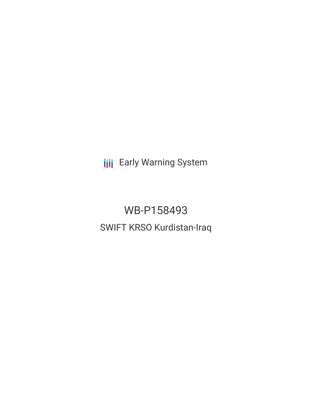**III** Early Warning System

WB-P158493 SWIFT KRSO Kurdistan-Iraq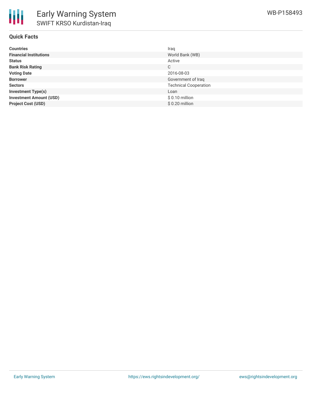

## **Quick Facts**

| <b>Countries</b>               | Iraq                         |
|--------------------------------|------------------------------|
| <b>Financial Institutions</b>  | World Bank (WB)              |
| <b>Status</b>                  | Active                       |
| <b>Bank Risk Rating</b>        | C                            |
| <b>Voting Date</b>             | 2016-08-03                   |
| <b>Borrower</b>                | Government of Iraq           |
| <b>Sectors</b>                 | <b>Technical Cooperation</b> |
| <b>Investment Type(s)</b>      | Loan                         |
| <b>Investment Amount (USD)</b> | $$0.10$ million              |
| <b>Project Cost (USD)</b>      | $$0.20$ million              |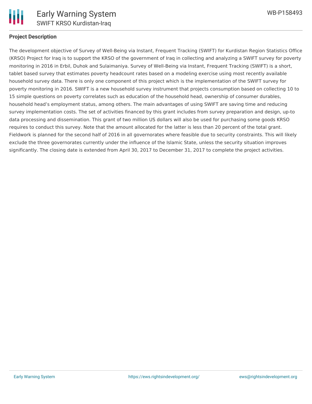

## **Project Description**

The development objective of Survey of Well-Being via Instant, Frequent Tracking (SWIFT) for Kurdistan Region Statistics Office (KRSO) Project for Iraq is to support the KRSO of the government of Iraq in collecting and analyzing a SWIFT survey for poverty monitoring in 2016 in Erbil, Duhok and Sulaimaniya. Survey of Well-Being via Instant, Frequent Tracking (SWIFT) is a short, tablet based survey that estimates poverty headcount rates based on a modeling exercise using most recently available household survey data. There is only one component of this project which is the implementation of the SWIFT survey for poverty monitoring in 2016. SWIFT is a new household survey instrument that projects consumption based on collecting 10 to 15 simple questions on poverty correlates such as education of the household head, ownership of consumer durables, household head's employment status, among others. The main advantages of using SWIFT are saving time and reducing survey implementation costs. The set of activities financed by this grant includes from survey preparation and design, up-to data processing and dissemination. This grant of two million US dollars will also be used for purchasing some goods KRSO requires to conduct this survey. Note that the amount allocated for the latter is less than 20 percent of the total grant. Fieldwork is planned for the second half of 2016 in all governorates where feasible due to security constraints. This will likely exclude the three governorates currently under the influence of the Islamic State, unless the security situation improves significantly. The closing date is extended from April 30, 2017 to December 31, 2017 to complete the project activities.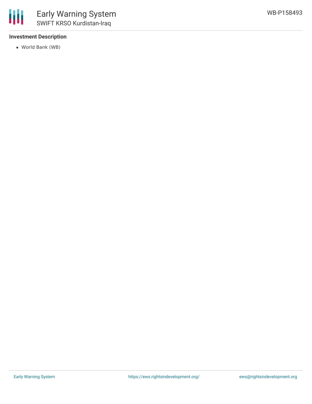

# **Investment Description**

World Bank (WB)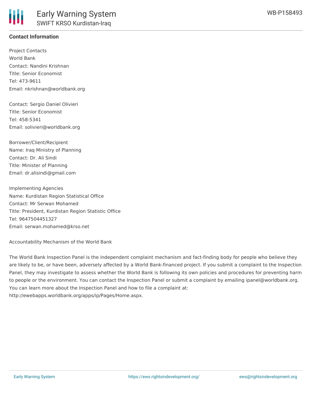# **Contact Information**

Project Contacts World Bank Contact: Nandini Krishnan Title: Senior Economist Tel: 473-9611 Email: nkrishnan@worldbank.org

Contact: Sergio Daniel Olivieri Title: Senior Economist Tel: 458-5341 Email: solivieri@worldbank.org

Borrower/Client/Recipient Name: Iraq Ministry of Planning Contact: Dr. Ali Sindi Title: Minister of Planning Email: dr.alisindi@gmail.com

Implementing Agencies Name: Kurdistan Region Statistical Office Contact: Mr Serwan Mohamed Title: President, Kurdistan Region Statistic Office Tel: 9647504451327 Email: serwan.mohamed@krso.net

Accountability Mechanism of the World Bank

The World Bank Inspection Panel is the independent complaint mechanism and fact-finding body for people who believe they are likely to be, or have been, adversely affected by a World Bank-financed project. If you submit a complaint to the Inspection Panel, they may investigate to assess whether the World Bank is following its own policies and procedures for preventing harm to people or the environment. You can contact the Inspection Panel or submit a complaint by emailing ipanel@worldbank.org. You can learn more about the Inspection Panel and how to file a complaint at: http://ewebapps.worldbank.org/apps/ip/Pages/Home.aspx.